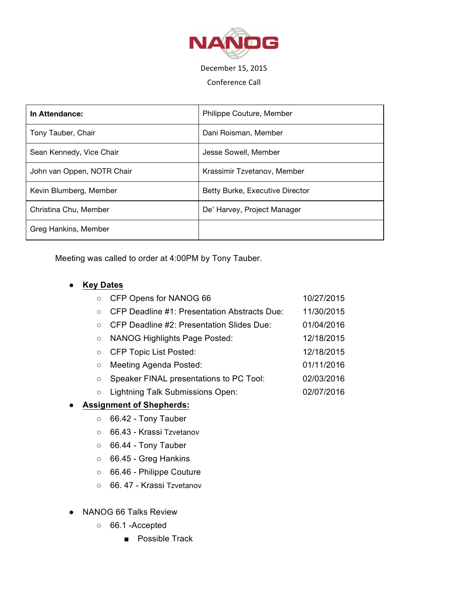

# December 15, 2015

### Conference Call

| In Attendance:             | Philippe Couture, Member        |
|----------------------------|---------------------------------|
| Tony Tauber, Chair         | Dani Roisman, Member            |
| Sean Kennedy, Vice Chair   | Jesse Sowell, Member            |
| John van Oppen, NOTR Chair | Krassimir Tzvetanov, Member     |
| Kevin Blumberg, Member     | Betty Burke, Executive Director |
| Christina Chu, Member      | De' Harvey, Project Manager     |
| Greg Hankins, Member       |                                 |

Meeting was called to order at 4:00PM by Tony Tauber.

### ● **Key Dates**

| CFP Opens for NANOG 66                              | 10/27/2015 |
|-----------------------------------------------------|------------|
| <b>CFP Deadline #1: Presentation Abstracts Due:</b> | 11/30/2015 |
| CFP Deadline #2: Presentation Slides Due:           | 01/04/2016 |
| <b>NANOG Highlights Page Posted:</b>                | 12/18/2015 |
| <b>CFP Topic List Posted:</b>                       | 12/18/2015 |
| Meeting Agenda Posted:                              | 01/11/2016 |
| Speaker FINAL presentations to PC Tool:             | 02/03/2016 |
| Lightning Talk Submissions Open:                    | 02/07/2016 |
|                                                     |            |

## ● **Assignment of Shepherds:**

- 66.42 Tony Tauber
- 66.43 Krassi Tzvetanov
- 66.44 Tony Tauber
- 66.45 Greg Hankins
- 66.46 Philippe Couture
- 66. 47 Krassi Tzvetanov
- NANOG 66 Talks Review
	- 66.1 -Accepted
		- Possible Track